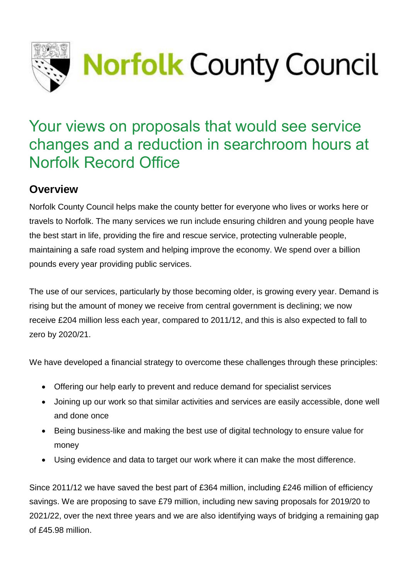

# Your views on proposals that would see service changes and a reduction in searchroom hours at Norfolk Record Office

# **Overview**

Norfolk County Council helps make the county better for everyone who lives or works here or travels to Norfolk. The many services we run include ensuring children and young people have the best start in life, providing the fire and rescue service, protecting vulnerable people, maintaining a safe road system and helping improve the economy. We spend over a billion pounds every year providing public services.

The use of our services, particularly by those becoming older, is growing every year. Demand is rising but the amount of money we receive from central government is declining; we now receive £204 million less each year, compared to 2011/12, and this is also expected to fall to zero by 2020/21.

We have developed a financial strategy to overcome these challenges through these principles:

- Offering our help early to prevent and reduce demand for specialist services
- Joining up our work so that similar activities and services are easily accessible, done well and done once
- Being business-like and making the best use of digital technology to ensure value for money
- Using evidence and data to target our work where it can make the most difference.

Since 2011/12 we have saved the best part of £364 million, including £246 million of efficiency savings. We are proposing to save £79 million, including new saving proposals for 2019/20 to 2021/22, over the next three years and we are also identifying ways of bridging a remaining gap of £45.98 million.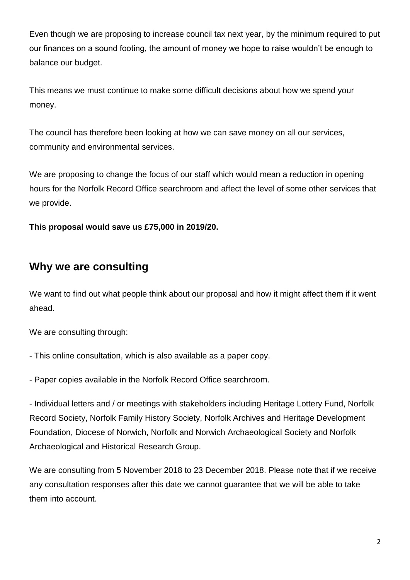Even though we are proposing to increase council tax next year, by the minimum required to put our finances on a sound footing, the amount of money we hope to raise wouldn't be enough to balance our budget.

This means we must continue to make some difficult decisions about how we spend your money.

The council has therefore been looking at how we can save money on all our services, community and environmental services.

We are proposing to change the focus of our staff which would mean a reduction in opening hours for the Norfolk Record Office searchroom and affect the level of some other services that we provide.

**This proposal would save us £75,000 in 2019/20.**

### **Why we are consulting**

We want to find out what people think about our proposal and how it might affect them if it went ahead.

We are consulting through:

- This online consultation, which is also available as a paper copy.

- Paper copies available in the Norfolk Record Office searchroom.

- Individual letters and / or meetings with stakeholders including Heritage Lottery Fund, Norfolk Record Society, Norfolk Family History Society, Norfolk Archives and Heritage Development Foundation, Diocese of Norwich, Norfolk and Norwich Archaeological Society and Norfolk Archaeological and Historical Research Group.

We are consulting from 5 November 2018 to 23 December 2018. Please note that if we receive any consultation responses after this date we cannot guarantee that we will be able to take them into account.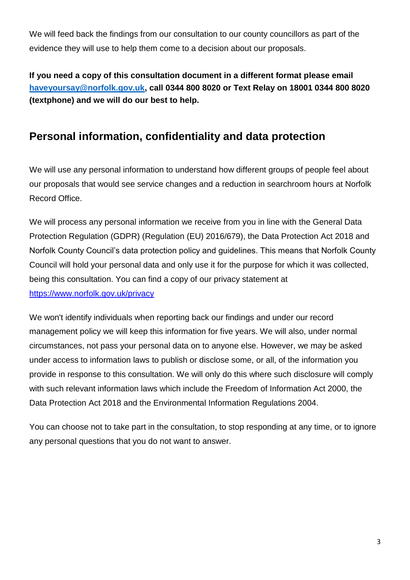We will feed back the findings from our consultation to our county councillors as part of the evidence they will use to help them come to a decision about our proposals.

**If you need a copy of this consultation document in a different format please email [haveyoursay@norfolk.gov.uk,](mailto:haveyoursay@norfolk.gov.uk) call 0344 800 8020 or Text Relay on 18001 0344 800 8020 (textphone) and we will do our best to help.**

# **Personal information, confidentiality and data protection**

We will use any personal information to understand how different groups of people feel about our proposals that would see service changes and a reduction in searchroom hours at Norfolk Record Office.

We will process any personal information we receive from you in line with the General Data Protection Regulation (GDPR) (Regulation (EU) 2016/679), the Data Protection Act 2018 and Norfolk County Council's data protection policy and guidelines. This means that Norfolk County Council will hold your personal data and only use it for the purpose for which it was collected, being this consultation. You can find a copy of our privacy statement at <https://www.norfolk.gov.uk/privacy>

We won't identify individuals when reporting back our findings and under our record management policy we will keep this information for five years. We will also, under normal circumstances, not pass your personal data on to anyone else. However, we may be asked under access to information laws to publish or disclose some, or all, of the information you provide in response to this consultation. We will only do this where such disclosure will comply with such relevant information laws which include the Freedom of Information Act 2000, the Data Protection Act 2018 and the Environmental Information Regulations 2004.

You can choose not to take part in the consultation, to stop responding at any time, or to ignore any personal questions that you do not want to answer.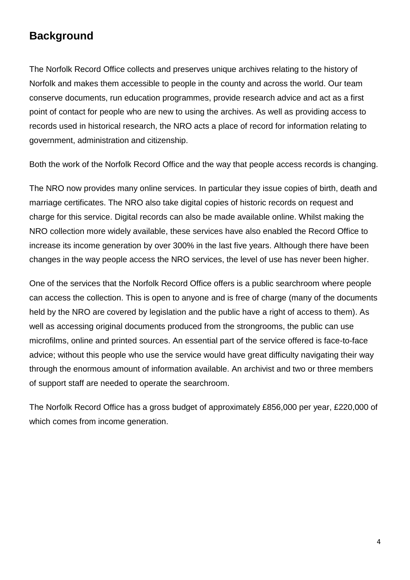### **Background**

The Norfolk Record Office collects and preserves unique archives relating to the history of Norfolk and makes them accessible to people in the county and across the world. Our team conserve documents, run education programmes, provide research advice and act as a first point of contact for people who are new to using the archives. As well as providing access to records used in historical research, the NRO acts a place of record for information relating to government, administration and citizenship.

Both the work of the Norfolk Record Office and the way that people access records is changing.

The NRO now provides many online services. In particular they issue copies of birth, death and marriage certificates. The NRO also take digital copies of historic records on request and charge for this service. Digital records can also be made available online. Whilst making the NRO collection more widely available, these services have also enabled the Record Office to increase its income generation by over 300% in the last five years. Although there have been changes in the way people access the NRO services, the level of use has never been higher.

One of the services that the Norfolk Record Office offers is a public searchroom where people can access the collection. This is open to anyone and is free of charge (many of the documents held by the NRO are covered by legislation and the public have a right of access to them). As well as accessing original documents produced from the strongrooms, the public can use microfilms, online and printed sources. An essential part of the service offered is face-to-face advice; without this people who use the service would have great difficulty navigating their way through the enormous amount of information available. An archivist and two or three members of support staff are needed to operate the searchroom.

The Norfolk Record Office has a gross budget of approximately £856,000 per year, £220,000 of which comes from income generation.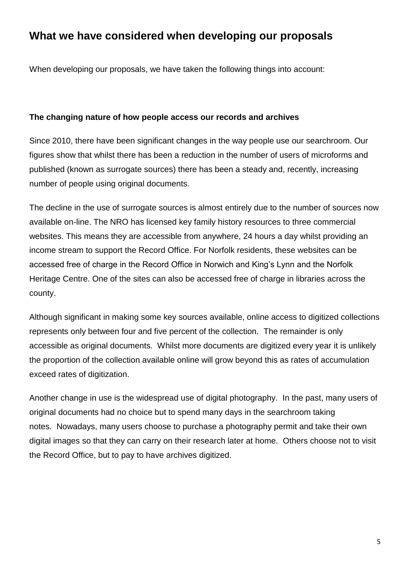### **What we have considered when developing our proposals**

When developing our proposals, we have taken the following things into account:

#### **The changing nature of how people access our records and archives**

Since 2010, there have been significant changes in the way people use our searchroom. Our figures show that whilst there has been a reduction in the number of users of microforms and published (known as surrogate sources) there has been a steady and, recently, increasing number of people using original documents.

The decline in the use of surrogate sources is almost entirely due to the number of sources now available on-line. The NRO has licensed key family history resources to three commercial websites. This means they are accessible from anywhere, 24 hours a day whilst providing an income stream to support the Record Office. For Norfolk residents, these websites can be accessed free of charge in the Record Office in Norwich and King's Lynn and the Norfolk Heritage Centre. One of the sites can also be accessed free of charge in libraries across the county.

Although significant in making some key sources available, online access to digitized collections represents only between four and five percent of the collection. The remainder is only accessible as original documents. Whilst more documents are digitized every year it is unlikely the proportion of the collection available online will grow beyond this as rates of accumulation exceed rates of digitization.

Another change in use is the widespread use of digital photography. In the past, many users of original documents had no choice but to spend many days in the searchroom taking notes. Nowadays, many users choose to purchase a photography permit and take their own digital images so that they can carry on their research later at home. Others choose not to visit the Record Office, but to pay to have archives digitized.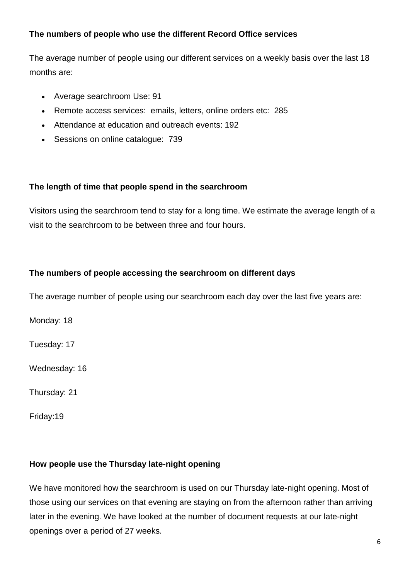#### **The numbers of people who use the different Record Office services**

The average number of people using our different services on a weekly basis over the last 18 months are:

- Average searchroom Use: 91
- Remote access services: emails, letters, online orders etc: 285
- Attendance at education and outreach events: 192
- Sessions on online catalogue: 739

#### **The length of time that people spend in the searchroom**

Visitors using the searchroom tend to stay for a long time. We estimate the average length of a visit to the searchroom to be between three and four hours.

#### **The numbers of people accessing the searchroom on different days**

The average number of people using our searchroom each day over the last five years are:

Monday: 18

Tuesday: 17

Wednesday: 16

Thursday: 21

Friday:19

#### **How people use the Thursday late-night opening**

We have monitored how the searchroom is used on our Thursday late-night opening. Most of those using our services on that evening are staying on from the afternoon rather than arriving later in the evening. We have looked at the number of document requests at our late-night openings over a period of 27 weeks.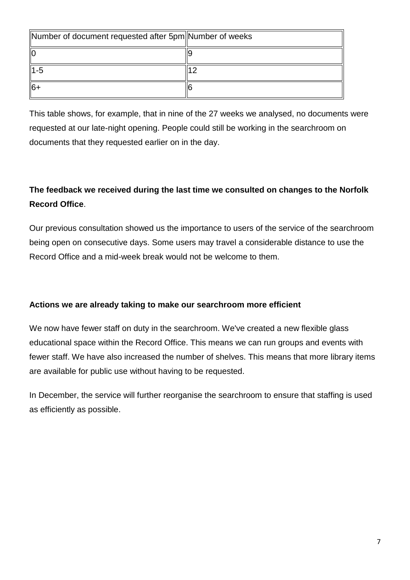| Number of document requested after 5pm Number of weeks |  |
|--------------------------------------------------------|--|
| llo                                                    |  |
| 11-5                                                   |  |
| ll6+                                                   |  |

This table shows, for example, that in nine of the 27 weeks we analysed, no documents were requested at our late-night opening. People could still be working in the searchroom on documents that they requested earlier on in the day.

### **The feedback we received during the last time we consulted on changes to the Norfolk Record Office**.

Our previous consultation showed us the importance to users of the service of the searchroom being open on consecutive days. Some users may travel a considerable distance to use the Record Office and a mid-week break would not be welcome to them.

#### **Actions we are already taking to make our searchroom more efficient**

We now have fewer staff on duty in the searchroom. We've created a new flexible glass educational space within the Record Office. This means we can run groups and events with fewer staff. We have also increased the number of shelves. This means that more library items are available for public use without having to be requested.

In December, the service will further reorganise the searchroom to ensure that staffing is used as efficiently as possible.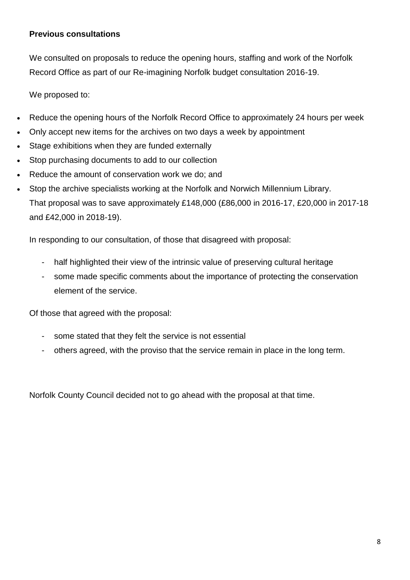#### **Previous consultations**

We consulted on proposals to reduce the opening hours, staffing and work of the Norfolk Record Office as part of our Re-imagining Norfolk budget consultation 2016-19.

We proposed to:

- Reduce the opening hours of the Norfolk Record Office to approximately 24 hours per week
- Only accept new items for the archives on two days a week by appointment
- Stage exhibitions when they are funded externally
- Stop purchasing documents to add to our collection
- Reduce the amount of conservation work we do; and
- Stop the archive specialists working at the Norfolk and Norwich Millennium Library. That proposal was to save approximately £148,000 (£86,000 in 2016-17, £20,000 in 2017-18 and £42,000 in 2018-19).

In responding to our consultation, of those that disagreed with proposal:

- half highlighted their view of the intrinsic value of preserving cultural heritage
- some made specific comments about the importance of protecting the conservation element of the service.

Of those that agreed with the proposal:

- some stated that they felt the service is not essential
- others agreed, with the proviso that the service remain in place in the long term.

Norfolk County Council decided not to go ahead with the proposal at that time.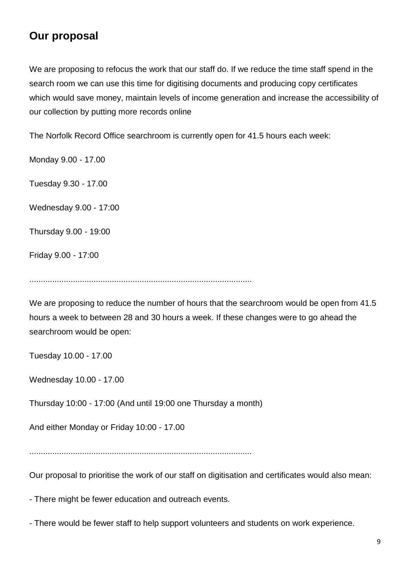# **Our proposal**

We are proposing to refocus the work that our staff do. If we reduce the time staff spend in the search room we can use this time for digitising documents and producing copy certificates which would save money, maintain levels of income generation and increase the accessibility of our collection by putting more records online

The Norfolk Record Office searchroom is currently open for 41.5 hours each week:

Monday 9.00 - 17.00

Tuesday 9.30 - 17.00

Wednesday 9.00 - 17:00

Thursday 9.00 - 19:00

Friday 9.00 - 17:00

.................................................................................................

We are proposing to reduce the number of hours that the searchroom would be open from 41.5 hours a week to between 28 and 30 hours a week. If these changes were to go ahead the searchroom would be open:

Tuesday 10.00 - 17.00

Wednesday 10.00 - 17.00

Thursday 10:00 - 17:00 (And until 19:00 one Thursday a month)

And either Monday or Friday 10:00 - 17.00

.................................................................................................

Our proposal to prioritise the work of our staff on digitisation and certificates would also mean:

- There might be fewer education and outreach events.

- There would be fewer staff to help support volunteers and students on work experience.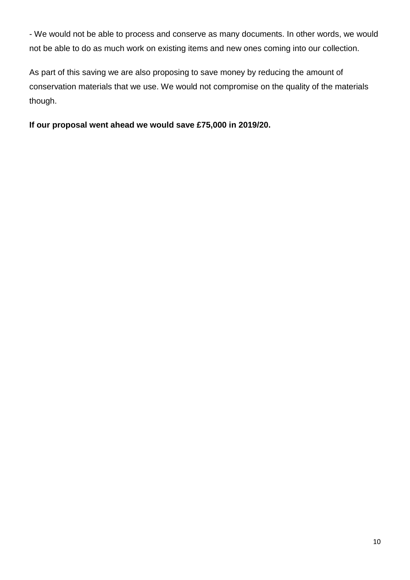- We would not be able to process and conserve as many documents. In other words, we would not be able to do as much work on existing items and new ones coming into our collection.

As part of this saving we are also proposing to save money by reducing the amount of conservation materials that we use. We would not compromise on the quality of the materials though.

**If our proposal went ahead we would save £75,000 in 2019/20.**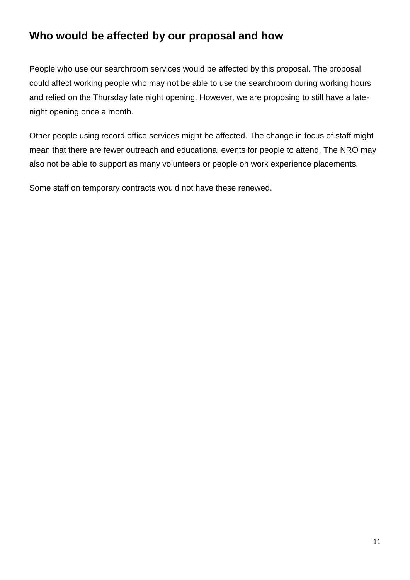# **Who would be affected by our proposal and how**

People who use our searchroom services would be affected by this proposal. The proposal could affect working people who may not be able to use the searchroom during working hours and relied on the Thursday late night opening. However, we are proposing to still have a latenight opening once a month.

Other people using record office services might be affected. The change in focus of staff might mean that there are fewer outreach and educational events for people to attend. The NRO may also not be able to support as many volunteers or people on work experience placements.

Some staff on temporary contracts would not have these renewed.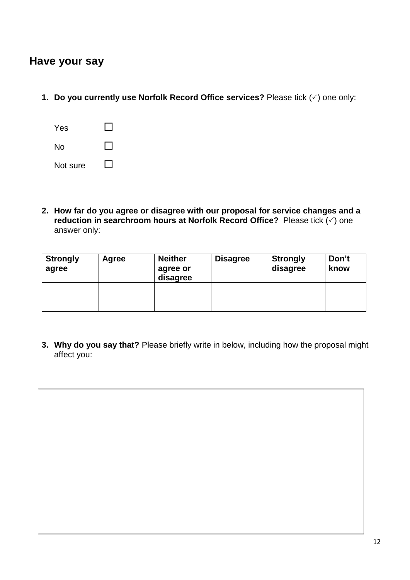### **Have your say**

**1. Do you currently use Norfolk Record Office services?** Please tick  $(\check{\phantom{e}})$  one only:

| Yes      |  |
|----------|--|
| No       |  |
| Not sure |  |

**2. How far do you agree or disagree with our proposal for service changes and a reduction in searchroom hours at Norfolk Record Office?** Please tick ( $\check{\cdot}$ ) one answer only:

| <b>Strongly</b><br>agree | Agree | <b>Neither</b><br>agree or<br>disagree | <b>Disagree</b> | <b>Strongly</b><br>disagree | Don't<br>know |
|--------------------------|-------|----------------------------------------|-----------------|-----------------------------|---------------|
|                          |       |                                        |                 |                             |               |

**3. Why do you say that?** Please briefly write in below, including how the proposal might affect you: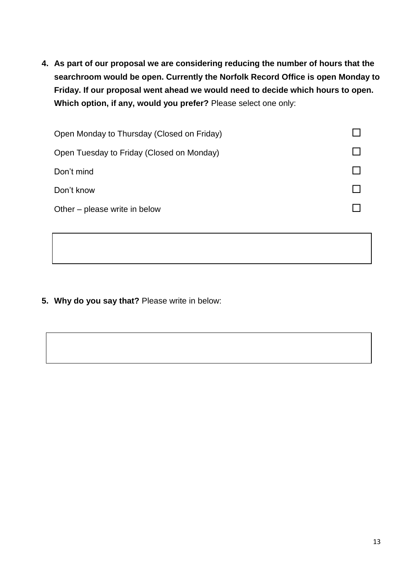**4. As part of our proposal we are considering reducing the number of hours that the searchroom would be open. Currently the Norfolk Record Office is open Monday to Friday. If our proposal went ahead we would need to decide which hours to open. Which option, if any, would you prefer?** Please select one only:

| Open Monday to Thursday (Closed on Friday) |  |
|--------------------------------------------|--|
| Open Tuesday to Friday (Closed on Monday)  |  |
| Don't mind                                 |  |
| Don't know                                 |  |
| Other – please write in below              |  |
|                                            |  |

**5. Why do you say that?** Please write in below: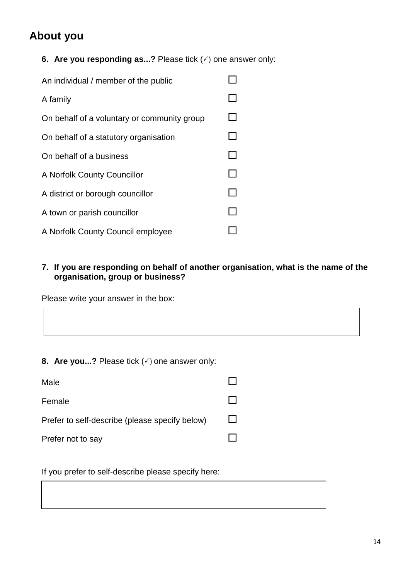# **About you**

**6.** Are you responding as...? Please tick  $(\check{\phantom{e}})$  one answer only:

| An individual / member of the public        |  |
|---------------------------------------------|--|
| A family                                    |  |
| On behalf of a voluntary or community group |  |
| On behalf of a statutory organisation       |  |
| On behalf of a business                     |  |
| A Norfolk County Councillor                 |  |
| A district or borough councillor            |  |
| A town or parish councillor                 |  |
| A Norfolk County Council employee           |  |

**7. If you are responding on behalf of another organisation, what is the name of the organisation, group or business?**

Please write your answer in the box:

**8. Are you...?** Please tick  $(\check{\phantom{e}})$  one answer only:

| Male                                           |        |
|------------------------------------------------|--------|
| Female                                         |        |
| Prefer to self-describe (please specify below) | $\Box$ |
| Prefer not to say                              |        |

If you prefer to self-describe please specify here: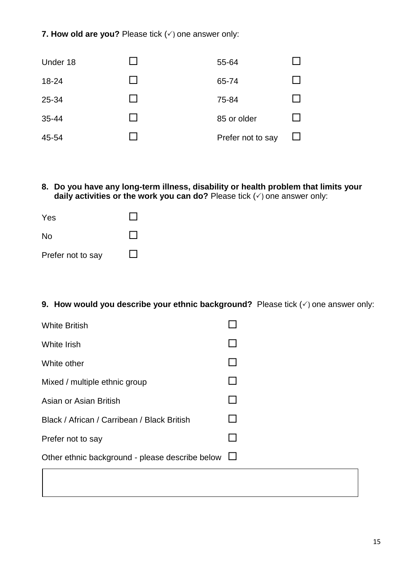#### **7. How old are you?** Please tick  $(\check{\phantom{e}})$  one answer only:

| Under 18 |               | 55-64             |              |
|----------|---------------|-------------------|--------------|
| 18-24    |               | 65-74             |              |
| 25-34    | $\mathcal{L}$ | 75-84             |              |
| 35-44    | $\mathbf{I}$  | 85 or older       | $\mathbf{I}$ |
| 45-54    |               | Prefer not to say | $\mathsf{L}$ |

**8. Do you have any long-term illness, disability or health problem that limits your daily activities or the work you can do?** Please tick  $(\check{\phantom{\prime}})$  one answer only:

| Yes               |  |
|-------------------|--|
| <b>No</b>         |  |
| Prefer not to say |  |

**9. How would you describe your ethnic background?** Please tick  $(\check{\phantom{a}})$  one answer only:

| <b>White British</b>                            |  |
|-------------------------------------------------|--|
| White Irish                                     |  |
| White other                                     |  |
| Mixed / multiple ethnic group                   |  |
| Asian or Asian British                          |  |
| Black / African / Carribean / Black British     |  |
| Prefer not to say                               |  |
| Other ethnic background - please describe below |  |
|                                                 |  |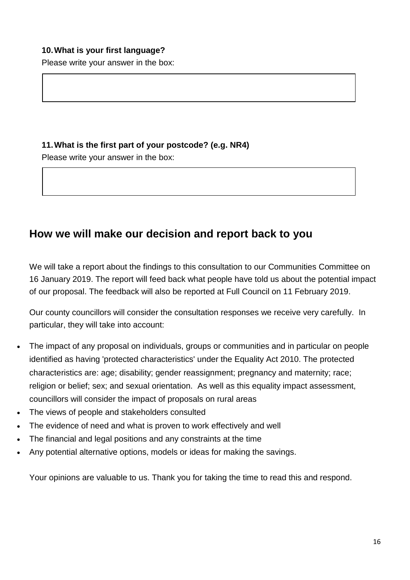#### **10.What is your first language?**

Please write your answer in the box:

#### **11.What is the first part of your postcode? (e.g. NR4)**

Please write your answer in the box:

### **How we will make our decision and report back to you**

We will take a report about the findings to this consultation to our Communities Committee on 16 January 2019. The report will feed back what people have told us about the potential impact of our proposal. The feedback will also be reported at Full Council on 11 February 2019.

Our county councillors will consider the consultation responses we receive very carefully. In particular, they will take into account:

- The impact of any proposal on individuals, groups or communities and in particular on people identified as having 'protected characteristics' under the Equality Act 2010. The protected characteristics are: age; disability; gender reassignment; pregnancy and maternity; race; religion or belief; sex; and sexual orientation. As well as this equality impact assessment, councillors will consider the impact of proposals on rural areas
- The views of people and stakeholders consulted
- The evidence of need and what is proven to work effectively and well
- The financial and legal positions and any constraints at the time
- Any potential alternative options, models or ideas for making the savings.

Your opinions are valuable to us. Thank you for taking the time to read this and respond.